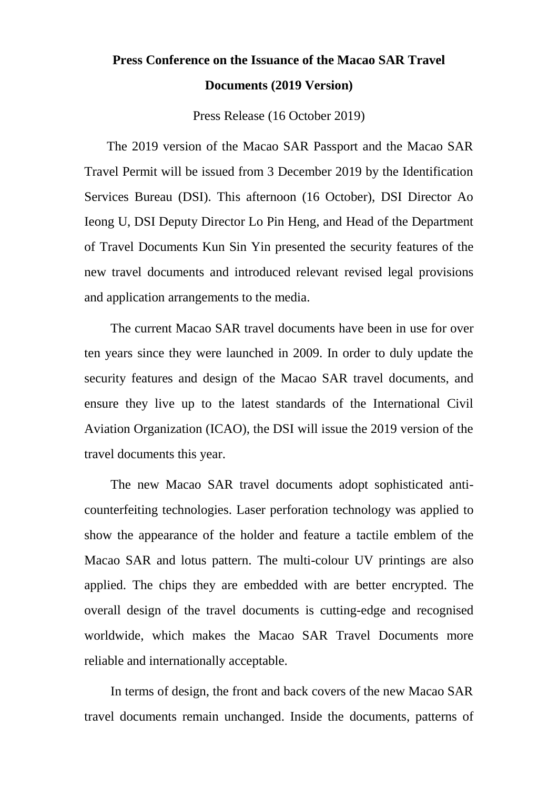## **Press Conference on the Issuance of the Macao SAR Travel Documents (2019 Version)**

Press Release (16 October 2019)

The 2019 version of the Macao SAR Passport and the Macao SAR Travel Permit will be issued from 3 December 2019 by the Identification Services Bureau (DSI). This afternoon (16 October), DSI Director Ao Ieong U, DSI Deputy Director Lo Pin Heng, and Head of the Department of Travel Documents Kun Sin Yin presented the security features of the new travel documents and introduced relevant revised legal provisions and application arrangements to the media.

The current Macao SAR travel documents have been in use for over ten years since they were launched in 2009. In order to duly update the security features and design of the Macao SAR travel documents, and ensure they live up to the latest standards of the International Civil Aviation Organization (ICAO), the DSI will issue the 2019 version of the travel documents this year.

The new Macao SAR travel documents adopt sophisticated anticounterfeiting technologies. Laser perforation technology was applied to show the appearance of the holder and feature a tactile emblem of the Macao SAR and lotus pattern. The multi-colour UV printings are also applied. The chips they are embedded with are better encrypted. The overall design of the travel documents is cutting-edge and recognised worldwide, which makes the Macao SAR Travel Documents more reliable and internationally acceptable.

In terms of design, the front and back covers of the new Macao SAR travel documents remain unchanged. Inside the documents, patterns of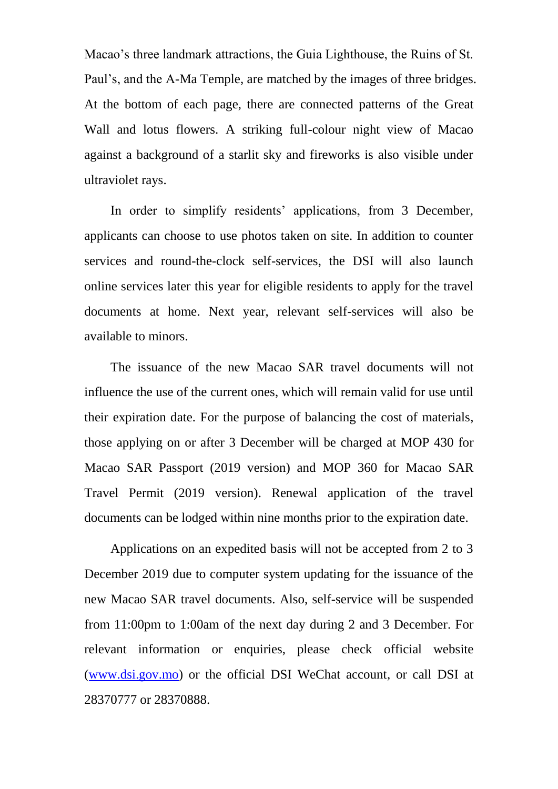Macao's three landmark attractions, the Guia Lighthouse, the Ruins of St. Paul's, and the A-Ma Temple, are matched by the images of three bridges. At the bottom of each page, there are connected patterns of the Great Wall and lotus flowers. A striking full-colour night view of Macao against a background of a starlit sky and fireworks is also visible under ultraviolet rays.

In order to simplify residents' applications, from 3 December, applicants can choose to use photos taken on site. In addition to counter services and round-the-clock self-services, the DSI will also launch online services later this year for eligible residents to apply for the travel documents at home. Next year, relevant self-services will also be available to minors.

The issuance of the new Macao SAR travel documents will not influence the use of the current ones, which will remain valid for use until their expiration date. For the purpose of balancing the cost of materials, those applying on or after 3 December will be charged at MOP 430 for Macao SAR Passport (2019 version) and MOP 360 for Macao SAR Travel Permit (2019 version). Renewal application of the travel documents can be lodged within nine months prior to the expiration date.

Applications on an expedited basis will not be accepted from 2 to 3 December 2019 due to computer system updating for the issuance of the new Macao SAR travel documents. Also, self-service will be suspended from 11:00pm to 1:00am of the next day during 2 and 3 December. For relevant information or enquiries, please check official website [\(www.dsi.gov.mo\)](http://www.dsi.gov.mo/) or the official DSI WeChat account, or call DSI at 28370777 or 28370888.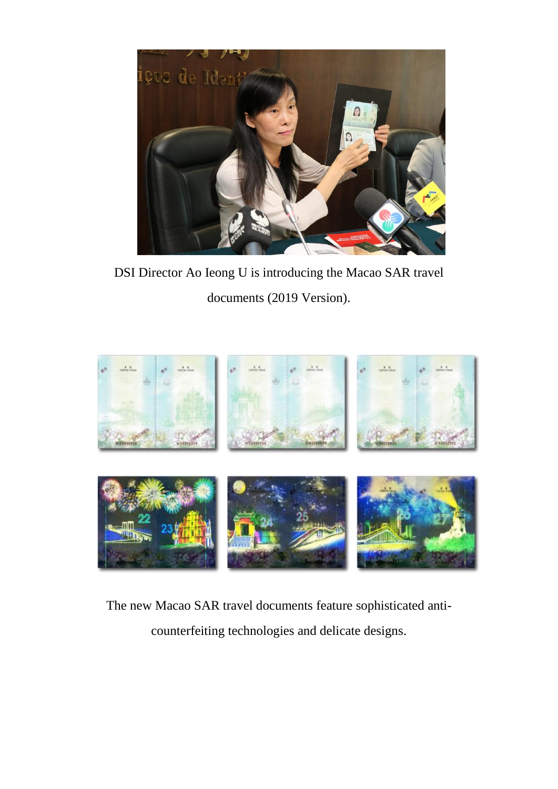

DSI Director Ao Ieong U is introducing the Macao SAR travel documents (2019 Version).



The new Macao SAR travel documents feature sophisticated anticounterfeiting technologies and delicate designs.